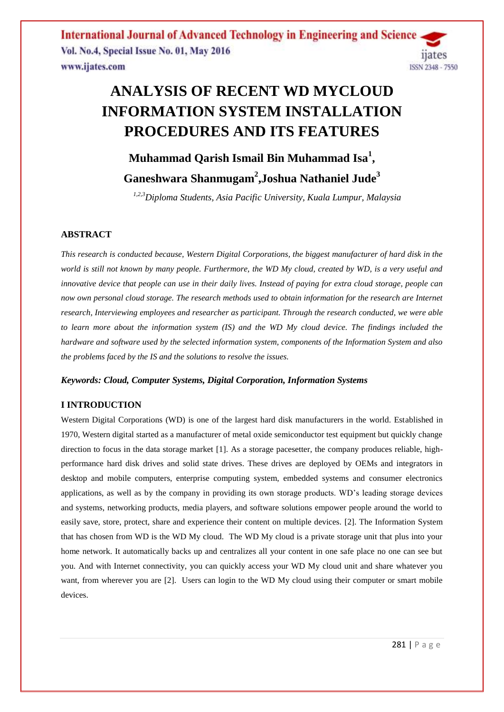# **ANALYSIS OF RECENT WD MYCLOUD INFORMATION SYSTEM INSTALLATION PROCEDURES AND ITS FEATURES**

# **Muhammad Qarish Ismail Bin Muhammad Isa<sup>1</sup> , Ganeshwara Shanmugam<sup>2</sup> ,Joshua Nathaniel Jude<sup>3</sup>**

*1,2,3Diploma Students, Asia Pacific University, Kuala Lumpur, Malaysia*

# **ABSTRACT**

*This research is conducted because, Western Digital Corporations, the biggest manufacturer of hard disk in the world is still not known by many people. Furthermore, the WD My cloud, created by WD, is a very useful and innovative device that people can use in their daily lives. Instead of paying for extra cloud storage, people can now own personal cloud storage. The research methods used to obtain information for the research are Internet research, Interviewing employees and researcher as participant. Through the research conducted, we were able to learn more about the information system (IS) and the WD My cloud device. The findings included the hardware and software used by the selected information system, components of the Information System and also the problems faced by the IS and the solutions to resolve the issues.*

## *Keywords: Cloud, Computer Systems, Digital Corporation, Information Systems*

# **I INTRODUCTION**

Western Digital Corporations (WD) is one of the largest hard disk manufacturers in the world. Established in 1970, Western digital started as a manufacturer of metal oxide semiconductor test equipment but quickly change direction to focus in the data storage market [1]. As a storage pacesetter, the company produces reliable, highperformance hard disk drives and solid state drives. These drives are deployed by OEMs and integrators in desktop and mobile computers, enterprise computing system, embedded systems and consumer electronics applications, as well as by the company in providing its own storage products. WD's leading storage devices and systems, networking products, media players, and software solutions empower people around the world to easily save, store, protect, share and experience their content on multiple devices. [2]. The Information System that has chosen from WD is the WD My cloud. The WD My cloud is a private storage unit that plus into your home network. It automatically backs up and centralizes all your content in one safe place no one can see but you. And with Internet connectivity, you can quickly access your WD My cloud unit and share whatever you want, from wherever you are [2]. Users can login to the WD My cloud using their computer or smart mobile devices.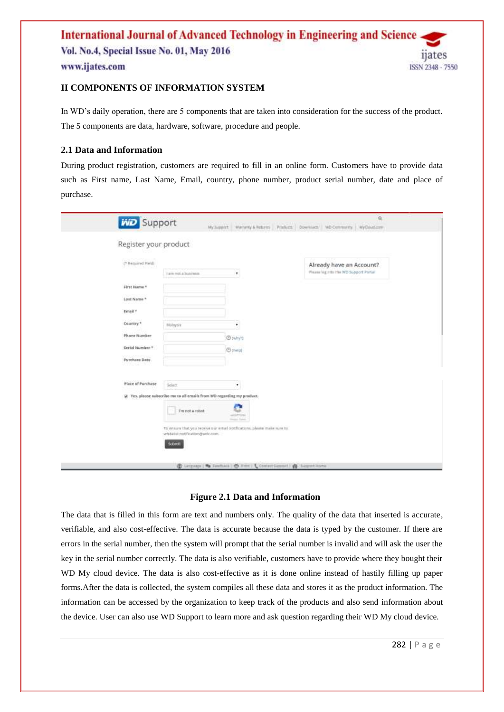

In WD's daily operation, there are 5 components that are taken into consideration for the success of the product. The 5 components are data, hardware, software, procedure and people.

# **2.1 Data and Information**

During product registration, customers are required to fill in an online form. Customers have to provide data such as First name, Last Name, Email, country, phone number, product serial number, date and place of purchase.

| <b>WD</b> Support              |                                                                                                          | $\Omega$<br>My Support Warranty & Returns Printings Downloads WD Commercity MyCloud.com |
|--------------------------------|----------------------------------------------------------------------------------------------------------|-----------------------------------------------------------------------------------------|
| Register your product          |                                                                                                          |                                                                                         |
| I* Required Field)             |                                                                                                          | Aiready have an Account?                                                                |
|                                | ٠<br>Lam not a business                                                                                  | Please log mis the WD Support Portal                                                    |
| First Name *                   |                                                                                                          |                                                                                         |
| Last Name *                    |                                                                                                          |                                                                                         |
| Email *                        |                                                                                                          |                                                                                         |
| Country <sup>*</sup>           | Málaysia.<br>٠                                                                                           |                                                                                         |
| Phone Number                   | <b>O</b> puttyrt                                                                                         |                                                                                         |
| Serial Number *                | <b>Open</b>                                                                                              |                                                                                         |
| <b>Purchase Date</b><br>사인사 등학 |                                                                                                          |                                                                                         |
| Place of Purchase              |                                                                                                          |                                                                                         |
|                                | Select.<br>۰                                                                                             |                                                                                         |
|                                | id Tes, pieose subscribe me to all-emails from WD regarding my product.                                  |                                                                                         |
|                                | I'm not a robot<br>a.<br><b>SECURITIES</b><br>Heavy Town                                                 |                                                                                         |
|                                | To ensure that you nearly sur-ental confications, please make sure to<br>whitelist notification@wdc.com. |                                                                                         |
|                                | Submit                                                                                                   |                                                                                         |
|                                | (B) Limituan ( B) Faschack   C) Firm   L Contact Support   & Support Monte                               |                                                                                         |

# **Figure 2.1 Data and Information**

The data that is filled in this form are text and numbers only. The quality of the data that inserted is accurate, verifiable, and also cost-effective. The data is accurate because the data is typed by the customer. If there are errors in the serial number, then the system will prompt that the serial number is invalid and will ask the user the key in the serial number correctly. The data is also verifiable, customers have to provide where they bought their WD My cloud device. The data is also cost-effective as it is done online instead of hastily filling up paper forms.After the data is collected, the system compiles all these data and stores it as the product information. The information can be accessed by the organization to keep track of the products and also send information about the device. User can also use WD Support to learn more and ask question regarding their WD My cloud device.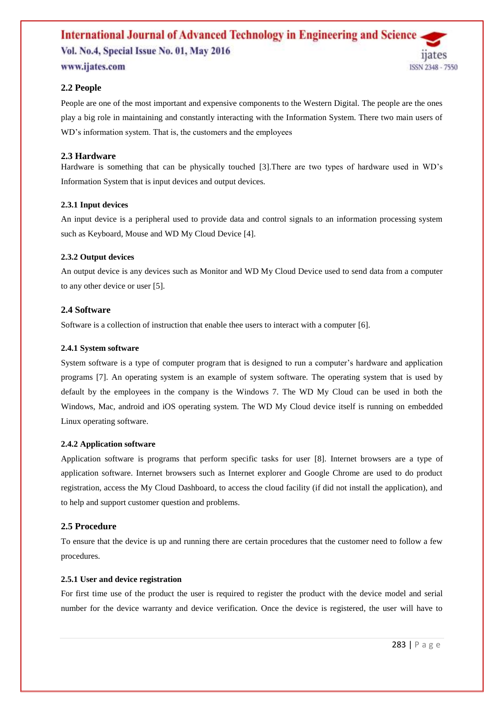# **2.2 People**

People are one of the most important and expensive components to the Western Digital. The people are the ones play a big role in maintaining and constantly interacting with the Information System. There two main users of WD's information system. That is, the customers and the employees

# **2.3 Hardware**

Hardware is something that can be physically touched [3].There are two types of hardware used in WD's Information System that is input devices and output devices.

## **2.3.1 Input devices**

An input device is a peripheral used to provide data and control signals to an information processing system such as Keyboard, Mouse and WD My Cloud Device [4].

## **2.3.2 Output devices**

An output device is any devices such as Monitor and WD My Cloud Device used to send data from a computer to any other device or user [5].

## **2.4 Software**

Software is a collection of instruction that enable thee users to interact with a computer [6].

## **2.4.1 System software**

System software is a type of computer program that is designed to run a computer's hardware and application programs [7]. An operating system is an example of system software. The operating system that is used by default by the employees in the company is the Windows 7. The WD My Cloud can be used in both the Windows, Mac, android and iOS operating system. The WD My Cloud device itself is running on embedded Linux operating software.

## **2.4.2 Application software**

Application software is programs that perform specific tasks for user [8]. Internet browsers are a type of application software. Internet browsers such as Internet explorer and Google Chrome are used to do product registration, access the My Cloud Dashboard, to access the cloud facility (if did not install the application), and to help and support customer question and problems.

# **2.5 Procedure**

To ensure that the device is up and running there are certain procedures that the customer need to follow a few procedures.

## **2.5.1 User and device registration**

For first time use of the product the user is required to register the product with the device model and serial number for the device warranty and device verification. Once the device is registered, the user will have to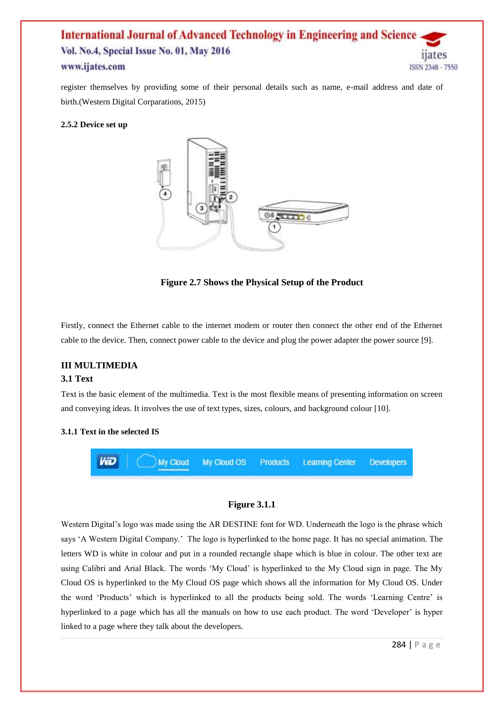register themselves by providing some of their personal details such as name, e-mail address and date of birth.(Western Digital Corparations, 2015)

## **2.5.2 Device set up**



**Figure 2.7 Shows the Physical Setup of the Product** 

Firstly, connect the Ethernet cable to the internet modem or router then connect the other end of the Ethernet cable to the device. Then, connect power cable to the device and plug the power adapter the power source [9].

## **III MULTIMEDIA**

## **3.1 Text**

Text is the basic element of the multimedia. Text is the most flexible means of presenting information on screen and conveying ideas. It involves the use of text types, sizes, colours, and background colour [10].

#### **3.1.1 Text in the selected IS**



#### **Figure 3.1.1**

Western Digital's logo was made using the AR DESTINE font for WD. Underneath the logo is the phrase which says 'A Western Digital Company.' The logo is hyperlinked to the home page. It has no special animation. The letters WD is white in colour and put in a rounded rectangle shape which is blue in colour. The other text are using Calibri and Arial Black. The words 'My Cloud' is hyperlinked to the My Cloud sign in page. The My Cloud OS is hyperlinked to the My Cloud OS page which shows all the information for My Cloud OS. Under the word 'Products' which is hyperlinked to all the products being sold. The words 'Learning Centre' is hyperlinked to a page which has all the manuals on how to use each product. The word 'Developer' is hyper linked to a page where they talk about the developers.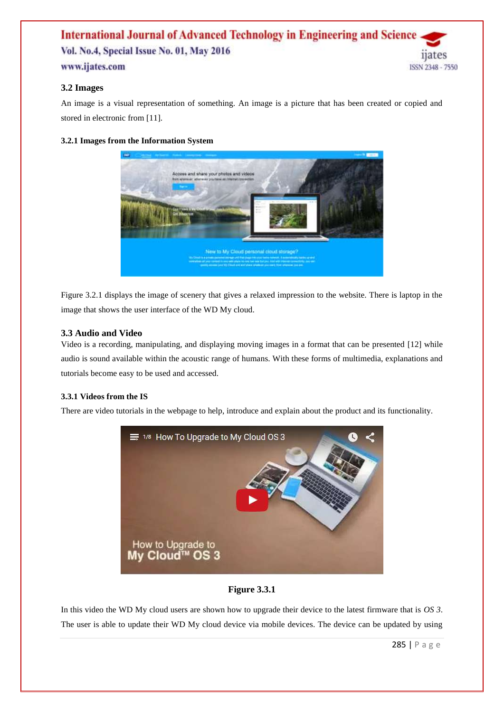# **3.2 Images**

An image is a visual representation of something. An image is a picture that has been created or copied and stored in electronic from [11].

# **3.2.1 Images from the Information System**



Figure 3.2.1 displays the image of scenery that gives a relaxed impression to the website. There is laptop in the image that shows the user interface of the WD My cloud.

# **3.3 Audio and Video**

Video is a recording, manipulating, and displaying moving images in a format that can be presented [12] while audio is sound available within the acoustic range of humans. With these forms of multimedia, explanations and tutorials become easy to be used and accessed.

# **3.3.1 Videos from the IS**

There are video tutorials in the webpage to help, introduce and explain about the product and its functionality.



# **Figure 3.3.1**

In this video the WD My cloud users are shown how to upgrade their device to the latest firmware that is *OS 3*. The user is able to update their WD My cloud device via mobile devices. The device can be updated by using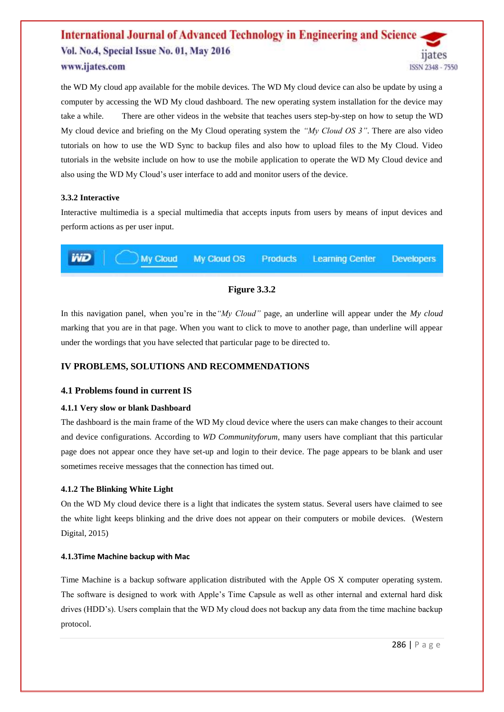the WD My cloud app available for the mobile devices. The WD My cloud device can also be update by using a computer by accessing the WD My cloud dashboard. The new operating system installation for the device may take a while. There are other videos in the website that teaches users step-by-step on how to setup the WD My cloud device and briefing on the My Cloud operating system the *"My Cloud OS 3"*. There are also video tutorials on how to use the WD Sync to backup files and also how to upload files to the My Cloud. Video tutorials in the website include on how to use the mobile application to operate the WD My Cloud device and also using the WD My Cloud's user interface to add and monitor users of the device.

## **3.3.2 Interactive**

Interactive multimedia is a special multimedia that accepts inputs from users by means of input devices and perform actions as per user input.



# **Figure 3.3.2**

In this navigation panel, when you're in the*"My Cloud"* page, an underline will appear under the *My cloud* marking that you are in that page. When you want to click to move to another page, than underline will appear under the wordings that you have selected that particular page to be directed to.

# **IV PROBLEMS, SOLUTIONS AND RECOMMENDATIONS**

# **4.1 Problems found in current IS**

# **4.1.1 Very slow or blank Dashboard**

The dashboard is the main frame of the WD My cloud device where the users can make changes to their account and device configurations. According to *WD Communityforum*, many users have compliant that this particular page does not appear once they have set-up and login to their device. The page appears to be blank and user sometimes receive messages that the connection has timed out.

# **4.1.2 The Blinking White Light**

On the WD My cloud device there is a light that indicates the system status. Several users have claimed to see the white light keeps blinking and the drive does not appear on their computers or mobile devices. (Western Digital, 2015)

## **4.1.3Time Machine backup with Mac**

Time Machine is a backup software application distributed with the Apple OS X computer operating system. The software is designed to work with Apple's Time Capsule as well as other internal and external hard disk drives (HDD's). Users complain that the WD My cloud does not backup any data from the time machine backup protocol.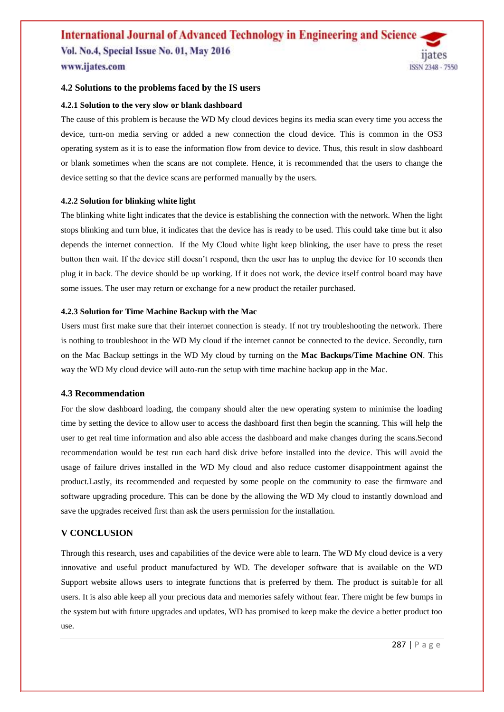## **4.2 Solutions to the problems faced by the IS users**

#### **4.2.1 Solution to the very slow or blank dashboard**

The cause of this problem is because the WD My cloud devices begins its media scan every time you access the device, turn-on media serving or added a new connection the cloud device. This is common in the OS3 operating system as it is to ease the information flow from device to device. Thus, this result in slow dashboard or blank sometimes when the scans are not complete. Hence, it is recommended that the users to change the device setting so that the device scans are performed manually by the users.

#### **4.2.2 Solution for blinking white light**

The blinking white light indicates that the device is establishing the connection with the network. When the light stops blinking and turn blue, it indicates that the device has is ready to be used. This could take time but it also depends the internet connection. If the My Cloud white light keep blinking, the user have to press the reset button then wait. If the device still doesn't respond, then the user has to unplug the device for 10 seconds then plug it in back. The device should be up working. If it does not work, the device itself control board may have some issues. The user may return or exchange for a new product the retailer purchased.

#### **4.2.3 Solution for Time Machine Backup with the Mac**

Users must first make sure that their internet connection is steady. If not try troubleshooting the network. There is nothing to troubleshoot in the WD My cloud if the internet cannot be connected to the device. Secondly, turn on the Mac Backup settings in the WD My cloud by turning on the **Mac Backups/Time Machine ON**. This way the WD My cloud device will auto-run the setup with time machine backup app in the Mac.

## **4.3 Recommendation**

For the slow dashboard loading, the company should alter the new operating system to minimise the loading time by setting the device to allow user to access the dashboard first then begin the scanning. This will help the user to get real time information and also able access the dashboard and make changes during the scans.Second recommendation would be test run each hard disk drive before installed into the device. This will avoid the usage of failure drives installed in the WD My cloud and also reduce customer disappointment against the product.Lastly, its recommended and requested by some people on the community to ease the firmware and software upgrading procedure. This can be done by the allowing the WD My cloud to instantly download and save the upgrades received first than ask the users permission for the installation.

## **V CONCLUSION**

Through this research, uses and capabilities of the device were able to learn. The WD My cloud device is a very innovative and useful product manufactured by WD. The developer software that is available on the WD Support website allows users to integrate functions that is preferred by them. The product is suitable for all users. It is also able keep all your precious data and memories safely without fear. There might be few bumps in the system but with future upgrades and updates, WD has promised to keep make the device a better product too use.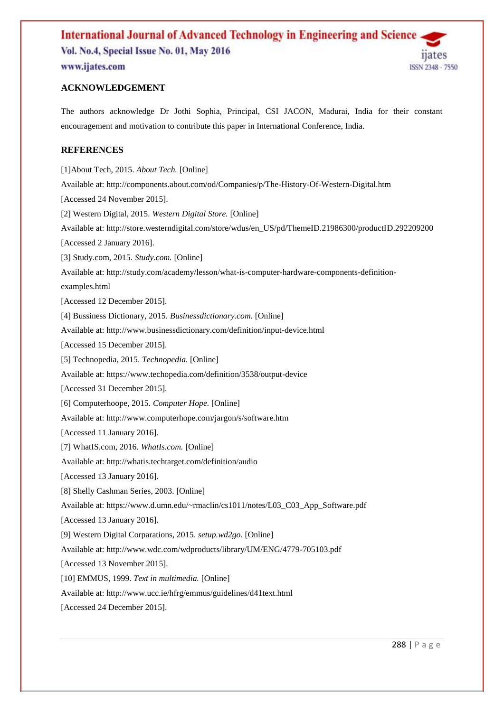

The authors acknowledge Dr Jothi Sophia, Principal, CSI JACON, Madurai, India for their constant encouragement and motivation to contribute this paper in International Conference, India.

# **REFERENCES**

[1]About Tech, 2015. *About Tech.* [Online] Available at: http://components.about.com/od/Companies/p/The-History-Of-Western-Digital.htm [Accessed 24 November 2015]. [2] Western Digital, 2015. *Western Digital Store.* [Online] Available at: http://store.westerndigital.com/store/wdus/en\_US/pd/ThemeID.21986300/productID.292209200 [Accessed 2 January 2016]. [3] Study.com, 2015. *Study.com.* [Online] Available at: http://study.com/academy/lesson/what-is-computer-hardware-components-definitionexamples.html [Accessed 12 December 2015]. [4] Bussiness Dictionary, 2015. *Businessdictionary.com.* [Online] Available at: http://www.businessdictionary.com/definition/input-device.html [Accessed 15 December 2015]. [5] Technopedia, 2015. *Technopedia.* [Online] Available at: https://www.techopedia.com/definition/3538/output-device [Accessed 31 December 2015]. [6] Computerhoope, 2015. *Computer Hope.* [Online] Available at: http://www.computerhope.com/jargon/s/software.htm [Accessed 11 January 2016]. [7] WhatIS.com, 2016. *WhatIs.com.* [Online] Available at: http://whatis.techtarget.com/definition/audio [Accessed 13 January 2016]. [8] Shelly Cashman Series, 2003. [Online] Available at: https://www.d.umn.edu/~rmaclin/cs1011/notes/L03\_C03\_App\_Software.pdf [Accessed 13 January 2016]. [9] Western Digital Corparations, 2015. *setup.wd2go.* [Online] Available at: http://www.wdc.com/wdproducts/library/UM/ENG/4779-705103.pdf [Accessed 13 November 2015]. [10] EMMUS, 1999. *Text in multimedia.* [Online] Available at: http://www.ucc.ie/hfrg/emmus/guidelines/d41text.html [Accessed 24 December 2015].